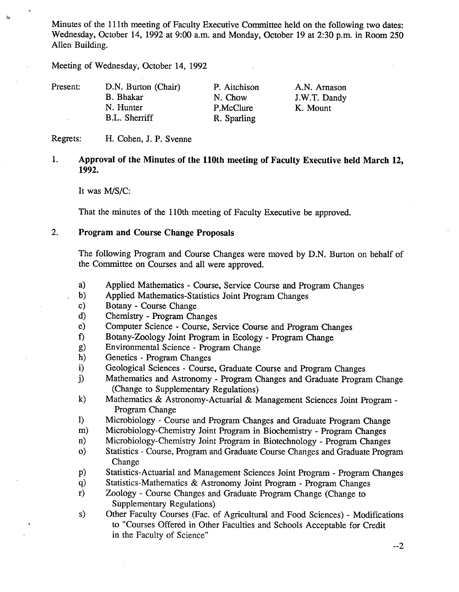Minutes of the 111th meeting of Faculty Executive Committee held on the following two dates: Wednesday, October 14, 1992 at 9:00 a.m. and Monday, October 19 at 2:30 p.m. in Room *250*  Allen Building.

Meeting of Wednesday, October 14, 1992

| Present: | D.N. Burton (Chair) | P. Aitchison | A.N. Arnason |
|----------|---------------------|--------------|--------------|
|          | B. Bhakar           | N. Chow      | J.W.T. Dandy |
|          | N. Hunter           | P.McClure    | K. Mount     |
|          | B.L. Sherriff       | R. Sparling  |              |

Regrets: H. Cohen, J. P. Svenne

#### $1.$ **Approval of the Minutes of the 110th meeting of Faculty Executive held March 12, 1992.**

It was M/S/C:

That the minutes of the 110th meeting of Faculty Executive be approved.

# **2. Program and Course Change Proposals**

The following Program and Course Changes were moved by D.N. Burton on behalf of the Committee on Courses and all were approved.

- $a)$ Applied Mathematics - Course, Service Course and Program Changes
- $b)$ Applied Mathematics-Statistics Joint Program Changes
- Botany Course Change  $c)$
- $\mathbf{d}$ Chemistry - Program Changes
- $e)$ Computer Science - Course, Service Course and Program Changes
- f) Botany-Zoology Joint Program in Ecology Program Change<br>g) Environmental Science Program Change
- Environmental Science Program Change
- $h)$ Genetics - Program Changes
- $i)$ Geological Sciences - Course, Graduate Course and Program Changes
- $\mathbf{j}$ Mathematics and Astronomy - Program Changes and Graduate Program Change (Change to Supplementary Regulations)
- Mathematics & Astronomy-Actuarial & Management Sciences Joint Program  $k)$ Program Change
- 1) Microbiology Course and Program Changes and Graduate Program Change
- $m)$ Microbiology-Chemistry Joint Program in Biochemistry - Program Changes
- $\mathbf{n}$ ) Microbiology-Chemistry Joint Program in Biotechnology - Program Changes
- $\mathbf{o}$ Statistics - Course, Program and Graduate Course Changes and Graduate Program Change
- $p)$ Statistics-Actuarial and Management Sciences Joint Program - Program Changes
- Statistics-Mathematics & Astronomy Joint Program Program Changes  $q)$
- $r)$ Zoology - Course Changes and Graduate Program Change (Change to Supplementary Regulations)
- Other Faculty Courses (Fac. of Agricultural and Food Sciences) Modifications  $s)$ to "Courses Offered in Other Faculties and Schools Acceptable for Credit in the Faculty of Science"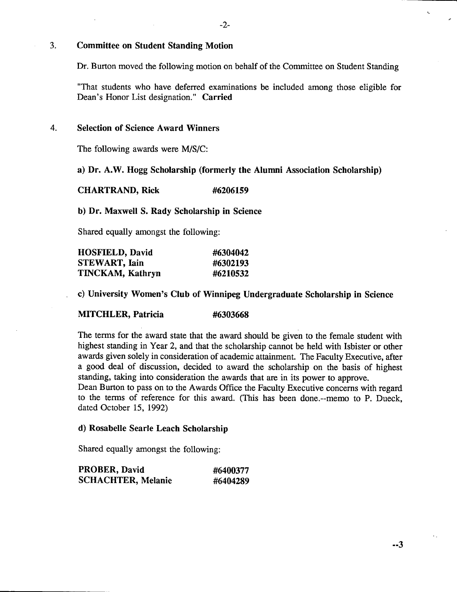#### $3.$ **Committee on Student Standing Motion**

Dr. Burton moved the following motion on behalf of the Committee on Student Standing

"That students who have deferred examinations be included among those eligible for Dean's Honor List designation." **Carried** 

#### **Selection of Science Award Winners**  4.

The following awards were M/S/C:

#### **Dr.** A.W. **Hogg Scholarship (formerly the Alumni Association Scholarship)**

**CHARTRAND, Rick #6206159** 

## **Dr. Maxwell S. Rady Scholarship in Science**

Shared equally amongst the following:

| <b>HOSFIELD, David</b> | #6304042 |
|------------------------|----------|
| <b>STEWART, Iain</b>   | #6302193 |
| TINCKAM, Kathryn       | #6210532 |

**University Women's Club of Winnipeg Undergraduate Scholarship in Science** 

# **MITCHLER, Patricia #6303668**

The terms for the award state that the award should be given to the female student with highest standing in Year 2, and that the scholarship cannot be held with Isbister or other awards given solely in consideration of academic attainment. The Faculty Executive, after a good deal of discussion, decided to award the scholarship on the basis of highest standing, taking into consideration the awards that are in its power to approve.

Dean Burton to pass on to the Awards Office the Faculty Executive concerns with regard to the terms of reference for this award. (This has been done.--memo to P. Dueck, dated October 15, 1992)

### **Rosabelle Searle Leach Scholarship**

Shared equally amongst the following:

| PROBER, David             | #6400377 |
|---------------------------|----------|
| <b>SCHACHTER, Melanie</b> | #6404289 |

 $\epsilon$  .

A.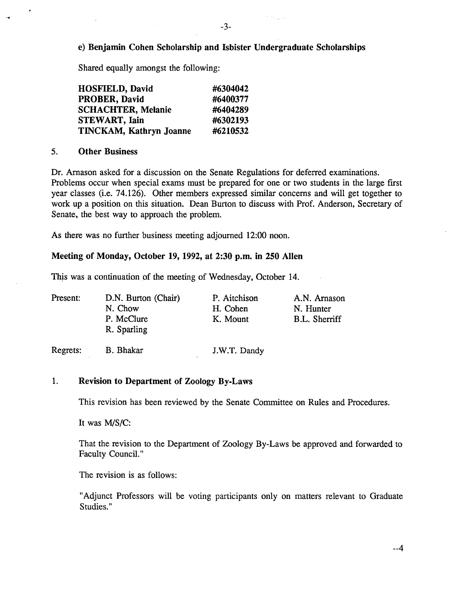# **e) Benjamin Cohen Scholarship and Isbister Undergraduate Scholarships**

Shared equally amongst the following:

| <b>HOSFIELD, David</b>         | #6304042 |
|--------------------------------|----------|
| <b>PROBER, David</b>           | #6400377 |
| <b>SCHACHTER, Melanie</b>      | #6404289 |
| <b>STEWART, Iain</b>           | #6302193 |
| <b>TINCKAM, Kathryn Joanne</b> | #6210532 |

#### *5.* **Other Business**

Dr. Arnason asked for a discussion on the Senate Regulations for deferred examinations. Problems occur when special exams must be prepared for one or two students in the large first year classes (i.e. 74.126). Other members expressed similar concerns and will get together to work up a position on this situation. Dean Burton to discuss with Prof. Anderson, Secretary of Senate, the best way to approach the problem.

As there was no further business meeting adjourned 12:00 noon.

## **Meeting of Monday, October 19, 1992, at 2:30 p.m. in 250 Allen**

This was a continuation of the meeting of Wednesday, October 14.

| Present: | D.N. Burton (Chair)       | P. Aitchison | A.N. Arnason  |
|----------|---------------------------|--------------|---------------|
|          | N. Chow                   | H. Cohen     | N. Hunter     |
|          | P. McClure<br>R. Sparling | K. Mount     | B.L. Sherriff |
| Regrets: | B. Bhakar                 | J.W.T. Dandy |               |

### 1. **Revision to Department of Zoology By-Laws**

This revision has been reviewed by the Senate Committee on Rules and Procedures.

It was *MIS/C:* 

That the revision to the Department of Zoology By-Laws be approved and forwarded to Faculty Council."

The revision is as follows:

"Adjunct Professors will be voting participants only on matters relevant to Graduate Studies."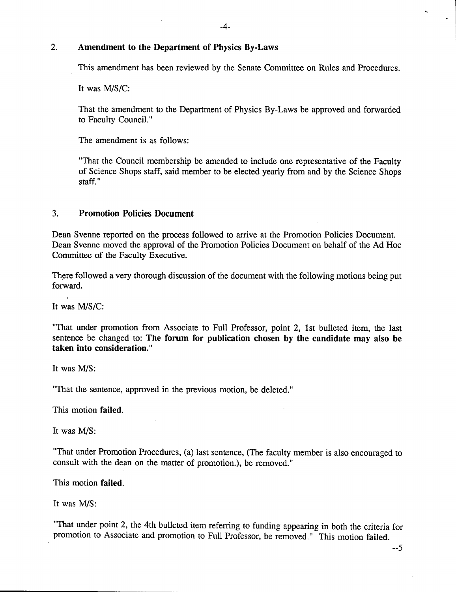#### $2.$ **Amendment to the Department of Physics By-Laws**

This amendment has been reviewed by the Senate Committee on Rules and Procedures.

It was M/S/C:

That the amendment to the Department of Physics By-Laws be approved and forwarded to Faculty Council."

The amendment is as follows:

"That the Council membership be amended to include one representative of the Faculty of Science Shops staff, said member to be elected yearly from and by the Science Shops staff."

#### $3<sub>1</sub>$ **Promotion Policies Document**

Dean Svenne reported on the process followed to arrive at the Promotion Policies Document. Dean Svenne moved the approval of the Promotion Policies Document on behalf of the Ad Hoc Committee of the Faculty Executive.

There followed a very thorough discussion of the document with the following motions being put forward.

It was *MIS/C:* 

"That under promotion from Associate to Full Professor, point 2, 1st bulleted item, the last sentence be changed to: **The forum for publication chosen by the candidate may also be taken into consideration."** 

It was *MIS:* 

"That the sentence, approved in the previous motion, be deleted."

This motion failed.

It was *MIS:* 

"That under Promotion Procedures, (a) last sentence, (The faculty member is also encouraged to consult with the dean on the matter of promotion.), be removed."

This motion failed.

It was *MIS:* 

"That under point 2, the 4th bulleted item referring to funding appearing in both the criteria for promotion to Associate and promotion to Full Professor, be removed." This motion failed.

 $-5$ 

 $\ddot{\phantom{a}}$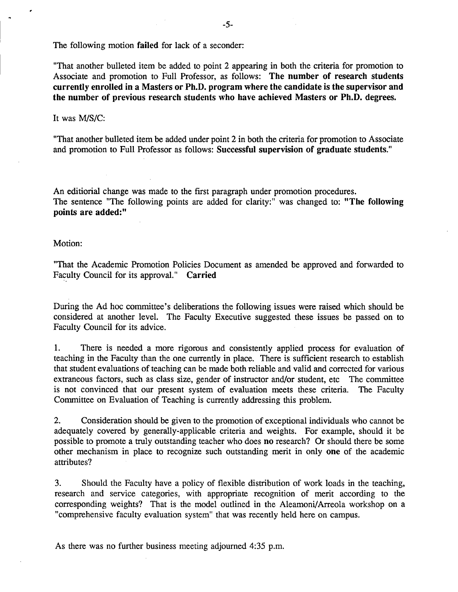The following motion **failed** for lack of a seconder:

"That another bulleted item be added to point 2 appearing in both the criteria for promotion to Associate and promotion to Full Professor, as follows: **The number of research students currently enrolled in a Masters or Ph.D. program where the candidate is the supervisor and the number of previous research students who have achieved Masters or Ph.D. degrees.** 

#### It was MIS/C:

"That another bulleted item be added under point 2 in both the criteria for promotion to Associate and promotion to Full Professor as follows: **Successful supervision of graduate students."** 

An editiorial change was made to the first paragraph under promotion procedures. The sentence "The following points are added for clarity:" was changed to: **"The following points are added:"** 

Motion:

"That the Academic Promotion Policies Document as amended be approved and forwarded to Faculty Council for its approval." Carried

During the Ad hoc committee's deliberations the following issues were raised which should be considered at another level. The Faculty Executive suggested these issues be passed on to Faculty Council for its advice.

1. There is needed a more rigorous and consistently applied process for evaluation of teaching in the Faculty than the one currently in place. There is sufficient research to establish that student evaluations of teaching can be made both reliable and valid and corrected for various extraneous factors, such as class size, gender of instructor and/or student, etc The committee is not convinced that our present system of evaluation meets these criteria. The Faculty Committee on Evaluation of Teaching is currently addressing this problem.

Consideration should be given to the promotion of exceptional individuals who cannot be  $2.$ adequately covered by generally-applicable criteria and weights. For example, should it be possible to promote a truly outstanding teacher who does **no** research? Or should there be some other mechanism in place to recognize such outstanding merit in only **one** of the academic attributes?

 $3.$ Should the Faculty have a policy of flexible distribution of work loads in the teaching, research and service categories, with appropriate recognition of merit according to the corresponding weights? That is the model outlined in the Aleamoni/Arreola workshop on a "comprehensive faculty evaluation system" that was recently held here on campus.

As there was no further business meeting adjourned *4:35* p.m.